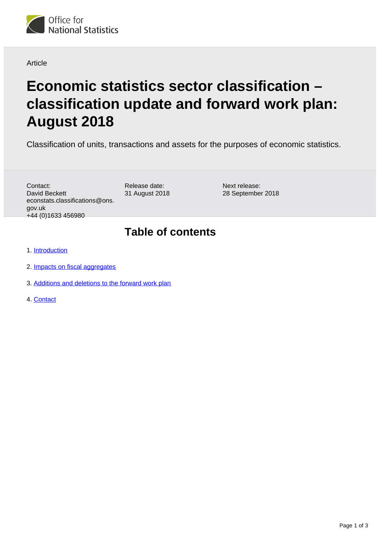

#### Article

# **Economic statistics sector classification – classification update and forward work plan: August 2018**

Classification of units, transactions and assets for the purposes of economic statistics.

Contact: David Beckett econstats.classifications@ons. gov.uk +44 (0)1633 456980

Release date: 31 August 2018 Next release: 28 September 2018

#### **Table of contents**

- 1. [Introduction](#page-1-0)
- 2. [Impacts on fiscal aggregates](#page-1-1)
- 3. [Additions and deletions to the forward work plan](#page-2-0)
- 4. [Contact](#page-2-1)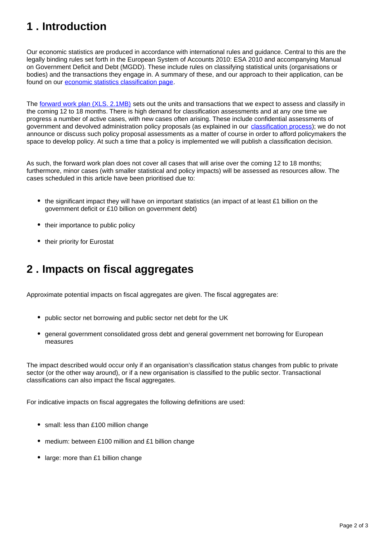## <span id="page-1-0"></span>**1 . Introduction**

Our economic statistics are produced in accordance with international rules and guidance. Central to this are the legally binding rules set forth in the European System of Accounts 2010: ESA 2010 and accompanying Manual on Government Deficit and Debt (MGDD). These include rules on classifying statistical units (organisations or bodies) and the transactions they engage in. A summary of these, and our approach to their application, can be found on our [economic statistics classification page.](https://www.ons.gov.uk/methodology/classificationsandstandards/economicstatisticsclassifications)

The [forward work plan \(XLS. 2.1MB\)](https://ons.gov.uk/file?uri=/methodology/classificationsandstandards/economicstatisticsclassifications/introductiontoeconomicstatisticsclassifications/augustfwp.xls) sets out the units and transactions that we expect to assess and classify in the coming 12 to 18 months. There is high demand for classification assessments and at any one time we progress a number of active cases, with new cases often arising. These include confidential assessments of government and devolved administration policy proposals (as explained in our [classification process\)](https://www.ons.gov.uk/methodology/classificationsandstandards/economicstatisticsclassifications/ukeconomicstatisticssectorandtransactionclassificationstheclassificationprocess); we do not announce or discuss such policy proposal assessments as a matter of course in order to afford policymakers the space to develop policy. At such a time that a policy is implemented we will publish a classification decision.

As such, the forward work plan does not cover all cases that will arise over the coming 12 to 18 months; furthermore, minor cases (with smaller statistical and policy impacts) will be assessed as resources allow. The cases scheduled in this article have been prioritised due to:

- the significant impact they will have on important statistics (an impact of at least £1 billion on the government deficit or £10 billion on government debt)
- their importance to public policy
- their priority for Eurostat

### <span id="page-1-1"></span>**2 . Impacts on fiscal aggregates**

Approximate potential impacts on fiscal aggregates are given. The fiscal aggregates are:

- public sector net borrowing and public sector net debt for the UK
- general government consolidated gross debt and general government net borrowing for European measures

The impact described would occur only if an organisation's classification status changes from public to private sector (or the other way around), or if a new organisation is classified to the public sector. Transactional classifications can also impact the fiscal aggregates.

For indicative impacts on fiscal aggregates the following definitions are used:

- small: less than £100 million change
- medium: between £100 million and £1 billion change
- large: more than £1 billion change